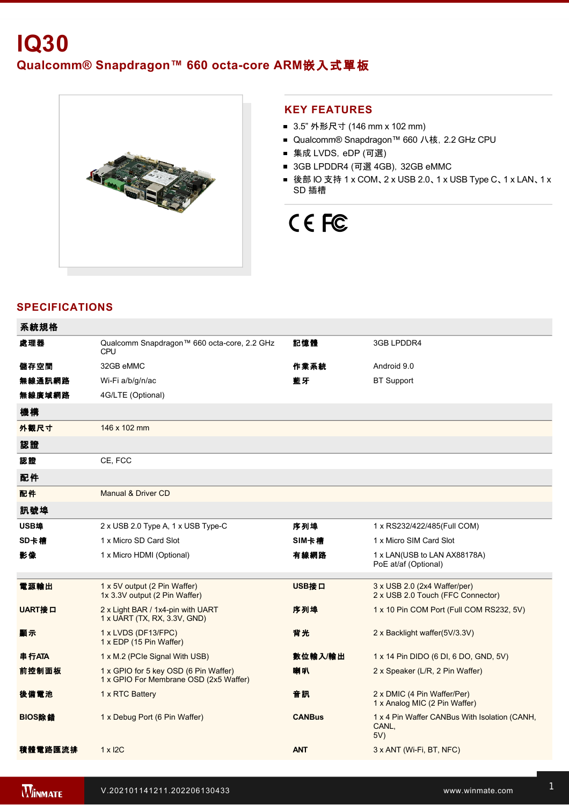

#### **KEY FEATURES**

- 3.5" 外形尺寸 (146 mm x 102 mm)
- Qualcomm® Snapdragon™ 660 八核, 2.2 GHz CPU
- 集成 LVDS, eDP (可選)
- 3GB LPDDR4 (可選 4GB), 32GB eMMC
- 後部 IO 支持 1 x COM、2 x USB 2.0、1 x USB Type C、1 x LAN、1 x SD 插槽

# CE FC

## **SPECIFICATIONS**

| 系統規格          |                                                                                 |               |                                                                   |
|---------------|---------------------------------------------------------------------------------|---------------|-------------------------------------------------------------------|
| 處理器           | Qualcomm Snapdragon™ 660 octa-core, 2.2 GHz<br><b>CPU</b>                       | 記憶體           | 3GB LPDDR4                                                        |
| 儲存空間          | 32GB eMMC                                                                       | 作業系統          | Android 9.0                                                       |
| 無線通訊網路        | Wi-Fi a/b/g/n/ac                                                                | 藍牙            | <b>BT Support</b>                                                 |
| 無線廣域網路        | 4G/LTE (Optional)                                                               |               |                                                                   |
| 機構            |                                                                                 |               |                                                                   |
| 外觀尺寸          | 146 x 102 mm                                                                    |               |                                                                   |
| 認證            |                                                                                 |               |                                                                   |
| 認證            | CE, FCC                                                                         |               |                                                                   |
| 配件            |                                                                                 |               |                                                                   |
| 配件            | Manual & Driver CD                                                              |               |                                                                   |
| 訊號埠           |                                                                                 |               |                                                                   |
| USB埠          | 2 x USB 2.0 Type A, 1 x USB Type-C                                              | 序列埠           | 1 x RS232/422/485(Full COM)                                       |
| SD卡槽          | 1 x Micro SD Card Slot                                                          | SIM卡槽         | 1 x Micro SIM Card Slot                                           |
| 影像            | 1 x Micro HDMI (Optional)                                                       | 有線網路          | 1 x LAN(USB to LAN AX88178A)<br>PoE at/af (Optional)              |
| 電源輸出          | 1 x 5V output (2 Pin Waffer)<br>1x 3.3V output (2 Pin Waffer)                   | USB接口         | 3 x USB 2.0 (2x4 Waffer/per)<br>2 x USB 2.0 Touch (FFC Connector) |
| <b>UART接口</b> | 2 x Light BAR / 1x4-pin with UART<br>1 x UART (TX, RX, 3.3V, GND)               | 序列埠           | 1 x 10 Pin COM Port (Full COM RS232, 5V)                          |
| 顯示            | 1 x LVDS (DF13/FPC)<br>1 x EDP (15 Pin Waffer)                                  | 背光            | 2 x Backlight waffer(5V/3.3V)                                     |
| 串行ATA         | 1 x M.2 (PCIe Signal With USB)                                                  | 數位輸入/輸出       | 1 x 14 Pin DIDO (6 DI, 6 DO, GND, 5V)                             |
| 前控制面板         | 1 x GPIO for 5 key OSD (6 Pin Waffer)<br>1 x GPIO For Membrane OSD (2x5 Waffer) | 喇叭            | 2 x Speaker (L/R, 2 Pin Waffer)                                   |
| 後備電池          | 1 x RTC Battery                                                                 | 音訊            | 2 x DMIC (4 Pin Waffer/Per)<br>1 x Analog MIC (2 Pin Waffer)      |
| BIOS除錯        | 1 x Debug Port (6 Pin Waffer)                                                   | <b>CANBus</b> | 1 x 4 Pin Waffer CANBus With Isolation (CANH,<br>CANL,<br>5V)     |
| 積體電路匯流排       | $1 \times 12C$                                                                  | <b>ANT</b>    | 3 x ANT (Wi-Fi, BT, NFC)                                          |

電源